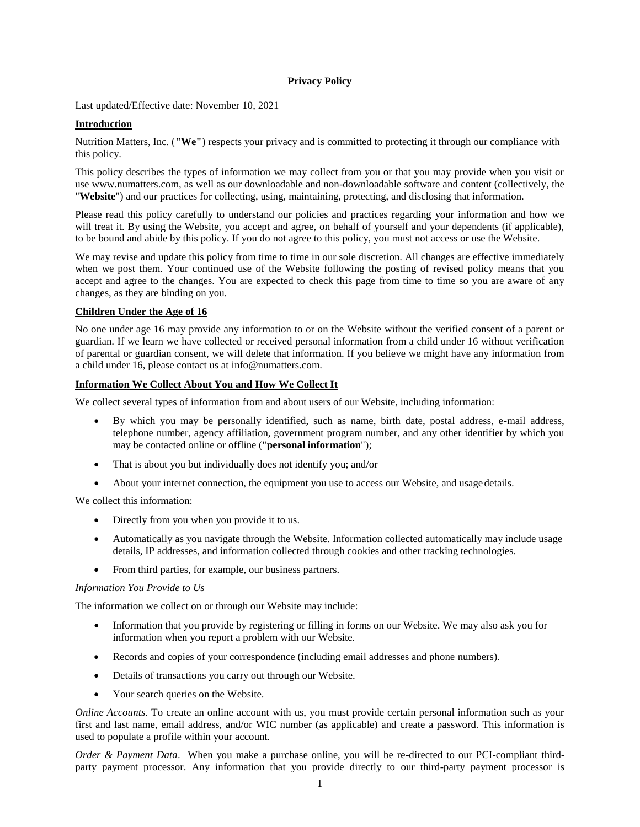#### **Privacy Policy**

Last updated/Effective date: November 10, 2021

### **Introduction**

Nutrition Matters, Inc. (**"We"**) respects your privacy and is committed to protecting it through our compliance with this policy.

This policy describes the types of information we may collect from you or that you may provide when you visit or use [www.numatters.com, a](http://www.numatters.com/)s well as our downloadable and non-downloadable software and content (collectively, the "**Website**") and our practices for collecting, using, maintaining, protecting, and disclosing that information.

Please read this policy carefully to understand our policies and practices regarding your information and how we will treat it. By using the Website, you accept and agree, on behalf of yourself and your dependents (if applicable), to be bound and abide by this policy. If you do not agree to this policy, you must not access or use the Website.

We may revise and update this policy from time to time in our sole discretion. All changes are effective immediately when we post them. Your continued use of the Website following the posting of revised policy means that you accept and agree to the changes. You are expected to check this page from time to time so you are aware of any changes, as they are binding on you.

#### **Children Under the Age of 16**

No one under age 16 may provide any information to or on the Website without the verified consent of a parent or guardian. If we learn we have collected or received personal information from a child under 16 without verification of parental or guardian consent, we will delete that information. If you believe we might have any information from a child under 16, please contact us at [info@numatters.com.](mailto:info@numatters.com)

### **Information We Collect About You and How We Collect It**

We collect several types of information from and about users of our Website, including information:

- By which you may be personally identified, such as name, birth date, postal address, e-mail address, telephone number, agency affiliation, government program number, and any other identifier by which you may be contacted online or offline ("**personal information**");
- That is about you but individually does not identify you; and/or
- About your internet connection, the equipment you use to access our Website, and usage details.

We collect this information:

- Directly from you when you provide it to us.
- Automatically as you navigate through the Website. Information collected automatically may include usage details, IP addresses, and information collected through cookies and other tracking technologies.
- From third parties, for example, our business partners.

#### *Information You Provide to Us*

The information we collect on or through our Website may include:

- Information that you provide by registering or filling in forms on our Website. We may also ask you for information when you report a problem with our Website.
- Records and copies of your correspondence (including email addresses and phone numbers).
- Details of transactions you carry out through our Website.
- Your search queries on the Website.

*Online Accounts*. To create an online account with us, you must provide certain personal information such as your first and last name, email address, and/or WIC number (as applicable) and create a password. This information is used to populate a profile within your account.

*Order & Payment Data*. When you make a purchase online, you will be re-directed to our PCI-compliant thirdparty payment processor. Any information that you provide directly to our third-party payment processor is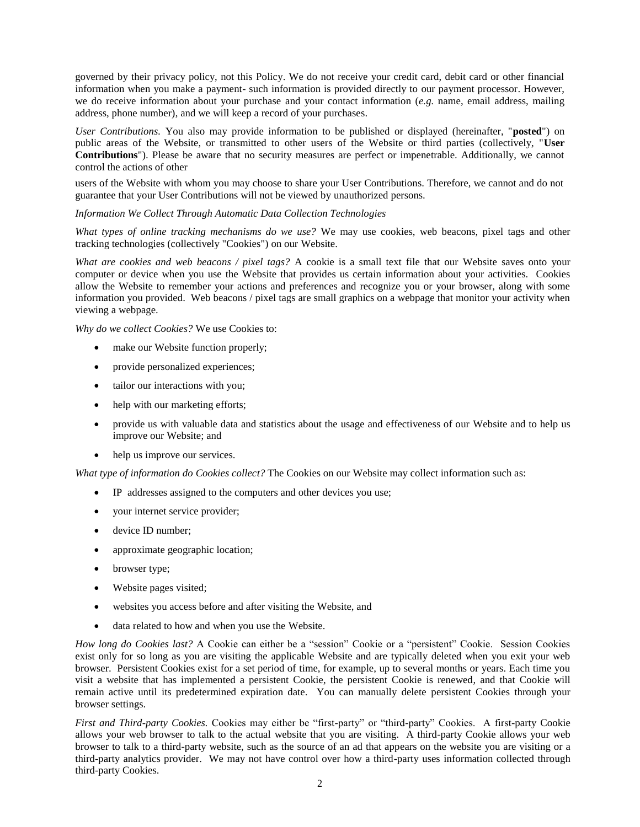governed by their privacy policy, not this Policy. We do not receive your credit card, debit card or other financial information when you make a payment- such information is provided directly to our payment processor. However, we do receive information about your purchase and your contact information (*e.g.* name, email address, mailing address, phone number), and we will keep a record of your purchases.

*User Contributions.* You also may provide information to be published or displayed (hereinafter, "**posted**") on public areas of the Website, or transmitted to other users of the Website or third parties (collectively, "**User Contributions**"). Please be aware that no security measures are perfect or impenetrable. Additionally, we cannot control the actions of other

users of the Website with whom you may choose to share your User Contributions. Therefore, we cannot and do not guarantee that your User Contributions will not be viewed by unauthorized persons.

*Information We Collect Through Automatic Data Collection Technologies*

*What types of online tracking mechanisms do we use?* We may use cookies, web beacons, pixel tags and other tracking technologies (collectively "Cookies") on our Website.

*What are cookies and web beacons / pixel tags?* A cookie is a small text file that our Website saves onto your computer or device when you use the Website that provides us certain information about your activities. Cookies allow the Website to remember your actions and preferences and recognize you or your browser, along with some information you provided. Web beacons / pixel tags are small graphics on a webpage that monitor your activity when viewing a webpage.

*Why do we collect Cookies?* We use Cookies to:

- make our Website function properly;
- provide personalized experiences;
- tailor our interactions with you;
- help with our marketing efforts;
- provide us with valuable data and statistics about the usage and effectiveness of our Website and to help us improve our Website; and
- help us improve our services.

*What type of information do Cookies collect?* The Cookies on our Website may collect information such as:

- IP addresses assigned to the computers and other devices you use;
- your internet service provider;
- device ID number:
- approximate geographic location;
- browser type;
- Website pages visited;
- websites you access before and after visiting the Website, and
- data related to how and when you use the Website.

*How long do Cookies last?* A Cookie can either be a "session" Cookie or a "persistent" Cookie. Session Cookies exist only for so long as you are visiting the applicable Website and are typically deleted when you exit your web browser. Persistent Cookies exist for a set period of time, for example, up to several months or years. Each time you visit a website that has implemented a persistent Cookie, the persistent Cookie is renewed, and that Cookie will remain active until its predetermined expiration date. You can manually delete persistent Cookies through your browser settings.

*First and Third-party Cookies.* Cookies may either be "first-party" or "third-party" Cookies. A first-party Cookie allows your web browser to talk to the actual website that you are visiting. A third-party Cookie allows your web browser to talk to a third-party website, such as the source of an ad that appears on the website you are visiting or a third-party analytics provider. We may not have control over how a third-party uses information collected through third-party Cookies.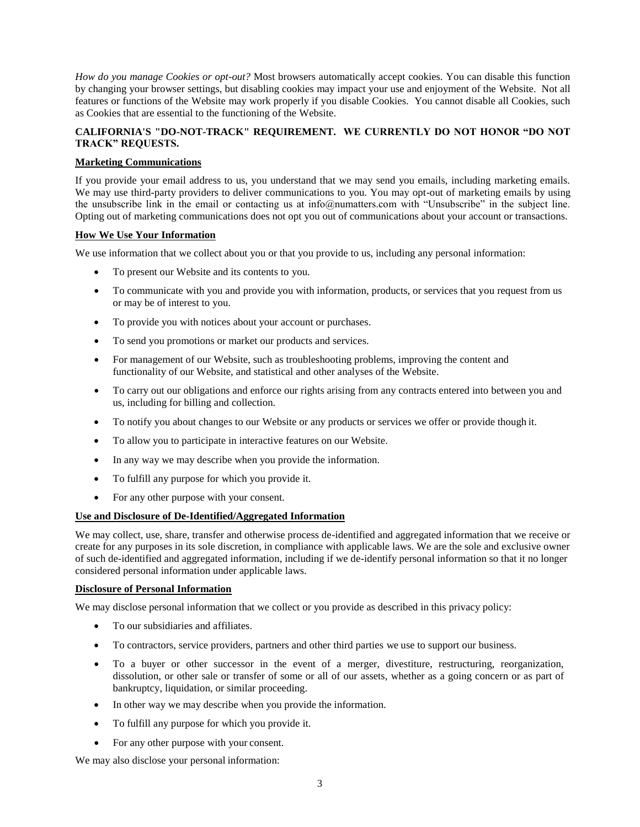*How do you manage Cookies or opt-out?* Most browsers automatically accept cookies. You can disable this function by changing your browser settings, but disabling cookies may impact your use and enjoyment of the Website. Not all features or functions of the Website may work properly if you disable Cookies. You cannot disable all Cookies, such as Cookies that are essential to the functioning of the Website.

# **CALIFORNIA'S "DO-NOT-TRACK" REQUIREMENT. WE CURRENTLY DO NOT HONOR "DO NOT TRACK" REQUESTS.**

### **Marketing Communications**

If you provide your email address to us, you understand that we may send you emails, including marketing emails. We may use third-party providers to deliver communications to you. You may opt-out of marketing emails by using the unsubscribe link in the email or contacting us at info@numatters.com with "Unsubscribe" in the subject line. Opting out of marketing communications does not opt you out of communications about your account or transactions.

# **How We Use Your Information**

We use information that we collect about you or that you provide to us, including any personal information:

- To present our Website and its contents to you.
- To communicate with you and provide you with information, products, or services that you request from us or may be of interest to you.
- To provide you with notices about your account or purchases.
- To send you promotions or market our products and services.
- For management of our Website, such as troubleshooting problems, improving the content and functionality of our Website, and statistical and other analyses of the Website.
- To carry out our obligations and enforce our rights arising from any contracts entered into between you and us, including for billing and collection.
- To notify you about changes to our Website or any products or services we offer or provide though it.
- To allow you to participate in interactive features on our Website.
- In any way we may describe when you provide the information.
- To fulfill any purpose for which you provide it.
- For any other purpose with your consent.

#### **Use and Disclosure of De-Identified/Aggregated Information**

We may collect, use, share, transfer and otherwise process de-identified and aggregated information that we receive or create for any purposes in its sole discretion, in compliance with applicable laws. We are the sole and exclusive owner of such de-identified and aggregated information, including if we de-identify personal information so that it no longer considered personal information under applicable laws.

#### **Disclosure of Personal Information**

We may disclose personal information that we collect or you provide as described in this privacy policy:

- To our subsidiaries and affiliates.
- To contractors, service providers, partners and other third parties we use to support our business.
- To a buyer or other successor in the event of a merger, divestiture, restructuring, reorganization, dissolution, or other sale or transfer of some or all of our assets, whether as a going concern or as part of bankruptcy, liquidation, or similar proceeding.
- In other way we may describe when you provide the information.
- To fulfill any purpose for which you provide it.
- For any other purpose with your consent.

We may also disclose your personal information: